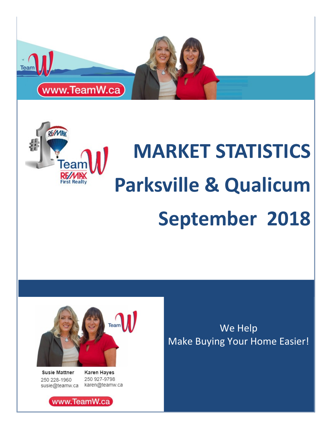

# **MARKET STATISTICS Parksville & Qualicum First Realt September 2018**



**Susie Mattner** 250 228-1960

**Karen Hayes** 250 927-9798 susie@teamw.ca karen@teamw.ca

We Help Make Buying Your Home Easier!

www.TeamW.ca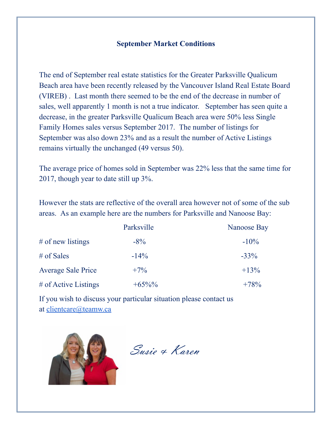#### **September Market Conditions**

The end of September real estate statistics for the Greater Parksville Qualicum Beach area have been recently released by the Vancouver Island Real Estate Board (VIREB) . Last month there seemed to be the end of the decrease in number of sales, well apparently 1 month is not a true indicator. September has seen quite a decrease, in the greater Parksville Qualicum Beach area were 50% less Single Family Homes sales versus September 2017. The number of listings for September was also down 23% and as a result the number of Active Listings remains virtually the unchanged (49 versus 50).

The average price of homes sold in September was 22% less that the same time for 2017, though year to date still up 3%.

However the stats are reflective of the overall area however not of some of the sub areas. As an example here are the numbers for Parksville and Nanoose Bay:

|                           | Parksville | Nanoose Bay |  |  |  |  |
|---------------------------|------------|-------------|--|--|--|--|
| $#$ of new listings       | $-8\%$     | $-10\%$     |  |  |  |  |
| $#$ of Sales              | $-14\%$    | $-33\%$     |  |  |  |  |
| <b>Average Sale Price</b> | $+7\%$     | $+13%$      |  |  |  |  |
| # of Active Listings      | $+65\%%$   | $+78%$      |  |  |  |  |

If you wish to discuss your particular situation please contact us at [clientcare@teamw.ca](mailto:clientcare@teamw.ca)



Susie & Karen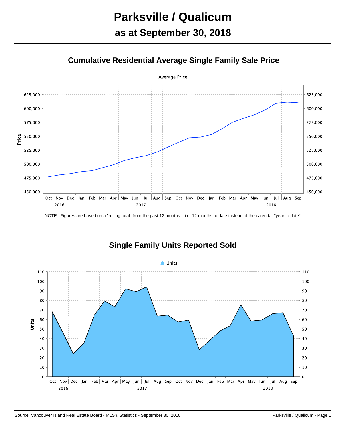

#### **Cumulative Residential Average Single Family Sale Price**

NOTE: Figures are based on a "rolling total" from the past 12 months – i.e. 12 months to date instead of the calendar "year to date".



#### **Single Family Units Reported Sold**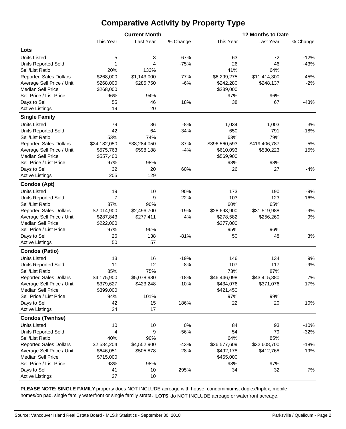### **Comparative Activity by Property Type**

| This Year<br>Last Year<br>This Year<br>Last Year<br>% Change<br>% Change<br>Lots<br>5<br>3<br>67%<br>72<br><b>Units Listed</b><br>63<br>$-12%$<br>1<br>4<br>$-75%$<br>26<br>46<br>$-43%$<br><b>Units Reported Sold</b><br>41%<br>20%<br>64%<br>Sell/List Ratio<br>133%<br><b>Reported Sales Dollars</b><br>\$268,000<br>\$1,143,000<br>$-77%$<br>\$6,299,275<br>\$11,414,300<br>$-45%$<br>$-6%$<br>Average Sell Price / Unit<br>\$268,000<br>$-2%$<br>\$285,750<br>\$242,280<br>\$248,137<br><b>Median Sell Price</b><br>\$268,000<br>\$239,000<br>96%<br>Sell Price / List Price<br>96%<br>94%<br>97%<br>Days to Sell<br>55<br>18%<br>67<br>46<br>38<br>$-43%$<br>19<br>20<br><b>Active Listings</b><br><b>Single Family</b><br><b>Units Listed</b><br>79<br>86<br>$-8%$<br>1,034<br>1,003<br>3%<br>42<br>64<br>791<br>$-34%$<br>650<br>$-18%$<br><b>Units Reported Sold</b><br>63%<br>Sell/List Ratio<br>53%<br>74%<br>79%<br><b>Reported Sales Dollars</b><br>\$24,182,050<br>\$38,284,050<br>$-37%$<br>\$396,560,593<br>\$419,406,787<br>$-5%$<br>$-4%$<br>15%<br>Average Sell Price / Unit<br>\$575,763<br>\$598,188<br>\$610,093<br>\$530,223<br><b>Median Sell Price</b><br>\$569,900<br>\$557,400<br>Sell Price / List Price<br>97%<br>98%<br>98%<br>98%<br>32<br>20<br>60%<br>26<br>27<br>$-4%$<br>Days to Sell<br>205<br>129<br><b>Active Listings</b><br><b>Condos (Apt)</b><br><b>Units Listed</b><br>19<br>10<br>90%<br>173<br>190<br>$-9%$<br>$\overline{7}$<br>$-22%$<br>103<br>123<br><b>Units Reported Sold</b><br>9<br>$-16%$<br>37%<br>60%<br>65%<br>Sell/List Ratio<br>90%<br>\$2,496,700<br><b>Reported Sales Dollars</b><br>\$2,014,900<br>$-19%$<br>\$28,693,900<br>\$31,519,988<br>$-9%$<br>Average Sell Price / Unit<br>4%<br>9%<br>\$287,843<br>\$277,411<br>\$278,582<br>\$256,260<br><b>Median Sell Price</b><br>\$222,000<br>\$277,000<br>Sell Price / List Price<br>97%<br>96%<br>95%<br>96%<br>26<br>138<br>$-81%$<br>48<br>3%<br>Days to Sell<br>50<br>50<br><b>Active Listings</b><br>57<br><b>Condos (Patio)</b><br>13<br>16<br>$-19%$<br>146<br>134<br>9%<br><b>Units Listed</b><br>12<br>107<br>117<br><b>Units Reported Sold</b><br>11<br>$-8%$<br>$-9%$<br>Sell/List Ratio<br>85%<br>75%<br>73%<br>87%<br><b>Reported Sales Dollars</b><br>\$4,175,900<br>\$5,078,980<br>$-18%$<br>\$46,446,098<br>\$43,415,880<br>7%<br>Average Sell Price / Unit<br>\$379,627<br>\$423,248<br>$-10%$<br>\$434,076<br>\$371,076<br>17%<br><b>Median Sell Price</b><br>\$399,000<br>\$421,450<br>Sell Price / List Price<br>101%<br>99%<br>94%<br>97%<br>42<br>15<br>186%<br>22<br>20<br>10%<br>Days to Sell<br>17<br>24<br><b>Active Listings</b><br><b>Condos (Twnhse)</b><br><b>Units Listed</b><br>10<br>10<br>0%<br>93<br>$-10%$<br>84<br>54<br><b>Units Reported Sold</b><br>4<br>9<br>$-56%$<br>79<br>$-32%$<br>40%<br>90%<br>64%<br>85%<br>Sell/List Ratio<br><b>Reported Sales Dollars</b><br>\$2,584,204<br>\$4,552,900<br>$-43%$<br>\$26,577,609<br>\$32,608,700<br>$-18%$<br>28%<br>\$492,178<br>\$412,768<br>19%<br>Average Sell Price / Unit<br>\$646,051<br>\$505,878<br><b>Median Sell Price</b><br>\$715,000<br>\$465,000<br>Sell Price / List Price<br>98%<br>98%<br>98%<br>97%<br>Days to Sell<br>10<br>295%<br>32<br>41<br>34<br>7%<br>27<br>10<br><b>Active Listings</b> |  | <b>Current Month</b> | 12 Months to Date |  |  |  |  |  |  |
|---------------------------------------------------------------------------------------------------------------------------------------------------------------------------------------------------------------------------------------------------------------------------------------------------------------------------------------------------------------------------------------------------------------------------------------------------------------------------------------------------------------------------------------------------------------------------------------------------------------------------------------------------------------------------------------------------------------------------------------------------------------------------------------------------------------------------------------------------------------------------------------------------------------------------------------------------------------------------------------------------------------------------------------------------------------------------------------------------------------------------------------------------------------------------------------------------------------------------------------------------------------------------------------------------------------------------------------------------------------------------------------------------------------------------------------------------------------------------------------------------------------------------------------------------------------------------------------------------------------------------------------------------------------------------------------------------------------------------------------------------------------------------------------------------------------------------------------------------------------------------------------------------------------------------------------------------------------------------------------------------------------------------------------------------------------------------------------------------------------------------------------------------------------------------------------------------------------------------------------------------------------------------------------------------------------------------------------------------------------------------------------------------------------------------------------------------------------------------------------------------------------------------------------------------------------------------------------------------------------------------------------------------------------------------------------------------------------------------------------------------------------------------------------------------------------------------------------------------------------------------------------------------------------------------------------------------------------------------------------------------------------------------------------------------------------------------------------------------------------------------------------------------------------------------------------------------------------------------------------------------------------------------------------------------------------------|--|----------------------|-------------------|--|--|--|--|--|--|
|                                                                                                                                                                                                                                                                                                                                                                                                                                                                                                                                                                                                                                                                                                                                                                                                                                                                                                                                                                                                                                                                                                                                                                                                                                                                                                                                                                                                                                                                                                                                                                                                                                                                                                                                                                                                                                                                                                                                                                                                                                                                                                                                                                                                                                                                                                                                                                                                                                                                                                                                                                                                                                                                                                                                                                                                                                                                                                                                                                                                                                                                                                                                                                                                                                                                                                                     |  |                      |                   |  |  |  |  |  |  |
|                                                                                                                                                                                                                                                                                                                                                                                                                                                                                                                                                                                                                                                                                                                                                                                                                                                                                                                                                                                                                                                                                                                                                                                                                                                                                                                                                                                                                                                                                                                                                                                                                                                                                                                                                                                                                                                                                                                                                                                                                                                                                                                                                                                                                                                                                                                                                                                                                                                                                                                                                                                                                                                                                                                                                                                                                                                                                                                                                                                                                                                                                                                                                                                                                                                                                                                     |  |                      |                   |  |  |  |  |  |  |
|                                                                                                                                                                                                                                                                                                                                                                                                                                                                                                                                                                                                                                                                                                                                                                                                                                                                                                                                                                                                                                                                                                                                                                                                                                                                                                                                                                                                                                                                                                                                                                                                                                                                                                                                                                                                                                                                                                                                                                                                                                                                                                                                                                                                                                                                                                                                                                                                                                                                                                                                                                                                                                                                                                                                                                                                                                                                                                                                                                                                                                                                                                                                                                                                                                                                                                                     |  |                      |                   |  |  |  |  |  |  |
|                                                                                                                                                                                                                                                                                                                                                                                                                                                                                                                                                                                                                                                                                                                                                                                                                                                                                                                                                                                                                                                                                                                                                                                                                                                                                                                                                                                                                                                                                                                                                                                                                                                                                                                                                                                                                                                                                                                                                                                                                                                                                                                                                                                                                                                                                                                                                                                                                                                                                                                                                                                                                                                                                                                                                                                                                                                                                                                                                                                                                                                                                                                                                                                                                                                                                                                     |  |                      |                   |  |  |  |  |  |  |
|                                                                                                                                                                                                                                                                                                                                                                                                                                                                                                                                                                                                                                                                                                                                                                                                                                                                                                                                                                                                                                                                                                                                                                                                                                                                                                                                                                                                                                                                                                                                                                                                                                                                                                                                                                                                                                                                                                                                                                                                                                                                                                                                                                                                                                                                                                                                                                                                                                                                                                                                                                                                                                                                                                                                                                                                                                                                                                                                                                                                                                                                                                                                                                                                                                                                                                                     |  |                      |                   |  |  |  |  |  |  |
|                                                                                                                                                                                                                                                                                                                                                                                                                                                                                                                                                                                                                                                                                                                                                                                                                                                                                                                                                                                                                                                                                                                                                                                                                                                                                                                                                                                                                                                                                                                                                                                                                                                                                                                                                                                                                                                                                                                                                                                                                                                                                                                                                                                                                                                                                                                                                                                                                                                                                                                                                                                                                                                                                                                                                                                                                                                                                                                                                                                                                                                                                                                                                                                                                                                                                                                     |  |                      |                   |  |  |  |  |  |  |
|                                                                                                                                                                                                                                                                                                                                                                                                                                                                                                                                                                                                                                                                                                                                                                                                                                                                                                                                                                                                                                                                                                                                                                                                                                                                                                                                                                                                                                                                                                                                                                                                                                                                                                                                                                                                                                                                                                                                                                                                                                                                                                                                                                                                                                                                                                                                                                                                                                                                                                                                                                                                                                                                                                                                                                                                                                                                                                                                                                                                                                                                                                                                                                                                                                                                                                                     |  |                      |                   |  |  |  |  |  |  |
|                                                                                                                                                                                                                                                                                                                                                                                                                                                                                                                                                                                                                                                                                                                                                                                                                                                                                                                                                                                                                                                                                                                                                                                                                                                                                                                                                                                                                                                                                                                                                                                                                                                                                                                                                                                                                                                                                                                                                                                                                                                                                                                                                                                                                                                                                                                                                                                                                                                                                                                                                                                                                                                                                                                                                                                                                                                                                                                                                                                                                                                                                                                                                                                                                                                                                                                     |  |                      |                   |  |  |  |  |  |  |
|                                                                                                                                                                                                                                                                                                                                                                                                                                                                                                                                                                                                                                                                                                                                                                                                                                                                                                                                                                                                                                                                                                                                                                                                                                                                                                                                                                                                                                                                                                                                                                                                                                                                                                                                                                                                                                                                                                                                                                                                                                                                                                                                                                                                                                                                                                                                                                                                                                                                                                                                                                                                                                                                                                                                                                                                                                                                                                                                                                                                                                                                                                                                                                                                                                                                                                                     |  |                      |                   |  |  |  |  |  |  |
|                                                                                                                                                                                                                                                                                                                                                                                                                                                                                                                                                                                                                                                                                                                                                                                                                                                                                                                                                                                                                                                                                                                                                                                                                                                                                                                                                                                                                                                                                                                                                                                                                                                                                                                                                                                                                                                                                                                                                                                                                                                                                                                                                                                                                                                                                                                                                                                                                                                                                                                                                                                                                                                                                                                                                                                                                                                                                                                                                                                                                                                                                                                                                                                                                                                                                                                     |  |                      |                   |  |  |  |  |  |  |
|                                                                                                                                                                                                                                                                                                                                                                                                                                                                                                                                                                                                                                                                                                                                                                                                                                                                                                                                                                                                                                                                                                                                                                                                                                                                                                                                                                                                                                                                                                                                                                                                                                                                                                                                                                                                                                                                                                                                                                                                                                                                                                                                                                                                                                                                                                                                                                                                                                                                                                                                                                                                                                                                                                                                                                                                                                                                                                                                                                                                                                                                                                                                                                                                                                                                                                                     |  |                      |                   |  |  |  |  |  |  |
|                                                                                                                                                                                                                                                                                                                                                                                                                                                                                                                                                                                                                                                                                                                                                                                                                                                                                                                                                                                                                                                                                                                                                                                                                                                                                                                                                                                                                                                                                                                                                                                                                                                                                                                                                                                                                                                                                                                                                                                                                                                                                                                                                                                                                                                                                                                                                                                                                                                                                                                                                                                                                                                                                                                                                                                                                                                                                                                                                                                                                                                                                                                                                                                                                                                                                                                     |  |                      |                   |  |  |  |  |  |  |
|                                                                                                                                                                                                                                                                                                                                                                                                                                                                                                                                                                                                                                                                                                                                                                                                                                                                                                                                                                                                                                                                                                                                                                                                                                                                                                                                                                                                                                                                                                                                                                                                                                                                                                                                                                                                                                                                                                                                                                                                                                                                                                                                                                                                                                                                                                                                                                                                                                                                                                                                                                                                                                                                                                                                                                                                                                                                                                                                                                                                                                                                                                                                                                                                                                                                                                                     |  |                      |                   |  |  |  |  |  |  |
|                                                                                                                                                                                                                                                                                                                                                                                                                                                                                                                                                                                                                                                                                                                                                                                                                                                                                                                                                                                                                                                                                                                                                                                                                                                                                                                                                                                                                                                                                                                                                                                                                                                                                                                                                                                                                                                                                                                                                                                                                                                                                                                                                                                                                                                                                                                                                                                                                                                                                                                                                                                                                                                                                                                                                                                                                                                                                                                                                                                                                                                                                                                                                                                                                                                                                                                     |  |                      |                   |  |  |  |  |  |  |
|                                                                                                                                                                                                                                                                                                                                                                                                                                                                                                                                                                                                                                                                                                                                                                                                                                                                                                                                                                                                                                                                                                                                                                                                                                                                                                                                                                                                                                                                                                                                                                                                                                                                                                                                                                                                                                                                                                                                                                                                                                                                                                                                                                                                                                                                                                                                                                                                                                                                                                                                                                                                                                                                                                                                                                                                                                                                                                                                                                                                                                                                                                                                                                                                                                                                                                                     |  |                      |                   |  |  |  |  |  |  |
|                                                                                                                                                                                                                                                                                                                                                                                                                                                                                                                                                                                                                                                                                                                                                                                                                                                                                                                                                                                                                                                                                                                                                                                                                                                                                                                                                                                                                                                                                                                                                                                                                                                                                                                                                                                                                                                                                                                                                                                                                                                                                                                                                                                                                                                                                                                                                                                                                                                                                                                                                                                                                                                                                                                                                                                                                                                                                                                                                                                                                                                                                                                                                                                                                                                                                                                     |  |                      |                   |  |  |  |  |  |  |
|                                                                                                                                                                                                                                                                                                                                                                                                                                                                                                                                                                                                                                                                                                                                                                                                                                                                                                                                                                                                                                                                                                                                                                                                                                                                                                                                                                                                                                                                                                                                                                                                                                                                                                                                                                                                                                                                                                                                                                                                                                                                                                                                                                                                                                                                                                                                                                                                                                                                                                                                                                                                                                                                                                                                                                                                                                                                                                                                                                                                                                                                                                                                                                                                                                                                                                                     |  |                      |                   |  |  |  |  |  |  |
|                                                                                                                                                                                                                                                                                                                                                                                                                                                                                                                                                                                                                                                                                                                                                                                                                                                                                                                                                                                                                                                                                                                                                                                                                                                                                                                                                                                                                                                                                                                                                                                                                                                                                                                                                                                                                                                                                                                                                                                                                                                                                                                                                                                                                                                                                                                                                                                                                                                                                                                                                                                                                                                                                                                                                                                                                                                                                                                                                                                                                                                                                                                                                                                                                                                                                                                     |  |                      |                   |  |  |  |  |  |  |
|                                                                                                                                                                                                                                                                                                                                                                                                                                                                                                                                                                                                                                                                                                                                                                                                                                                                                                                                                                                                                                                                                                                                                                                                                                                                                                                                                                                                                                                                                                                                                                                                                                                                                                                                                                                                                                                                                                                                                                                                                                                                                                                                                                                                                                                                                                                                                                                                                                                                                                                                                                                                                                                                                                                                                                                                                                                                                                                                                                                                                                                                                                                                                                                                                                                                                                                     |  |                      |                   |  |  |  |  |  |  |
|                                                                                                                                                                                                                                                                                                                                                                                                                                                                                                                                                                                                                                                                                                                                                                                                                                                                                                                                                                                                                                                                                                                                                                                                                                                                                                                                                                                                                                                                                                                                                                                                                                                                                                                                                                                                                                                                                                                                                                                                                                                                                                                                                                                                                                                                                                                                                                                                                                                                                                                                                                                                                                                                                                                                                                                                                                                                                                                                                                                                                                                                                                                                                                                                                                                                                                                     |  |                      |                   |  |  |  |  |  |  |
|                                                                                                                                                                                                                                                                                                                                                                                                                                                                                                                                                                                                                                                                                                                                                                                                                                                                                                                                                                                                                                                                                                                                                                                                                                                                                                                                                                                                                                                                                                                                                                                                                                                                                                                                                                                                                                                                                                                                                                                                                                                                                                                                                                                                                                                                                                                                                                                                                                                                                                                                                                                                                                                                                                                                                                                                                                                                                                                                                                                                                                                                                                                                                                                                                                                                                                                     |  |                      |                   |  |  |  |  |  |  |
|                                                                                                                                                                                                                                                                                                                                                                                                                                                                                                                                                                                                                                                                                                                                                                                                                                                                                                                                                                                                                                                                                                                                                                                                                                                                                                                                                                                                                                                                                                                                                                                                                                                                                                                                                                                                                                                                                                                                                                                                                                                                                                                                                                                                                                                                                                                                                                                                                                                                                                                                                                                                                                                                                                                                                                                                                                                                                                                                                                                                                                                                                                                                                                                                                                                                                                                     |  |                      |                   |  |  |  |  |  |  |
|                                                                                                                                                                                                                                                                                                                                                                                                                                                                                                                                                                                                                                                                                                                                                                                                                                                                                                                                                                                                                                                                                                                                                                                                                                                                                                                                                                                                                                                                                                                                                                                                                                                                                                                                                                                                                                                                                                                                                                                                                                                                                                                                                                                                                                                                                                                                                                                                                                                                                                                                                                                                                                                                                                                                                                                                                                                                                                                                                                                                                                                                                                                                                                                                                                                                                                                     |  |                      |                   |  |  |  |  |  |  |
|                                                                                                                                                                                                                                                                                                                                                                                                                                                                                                                                                                                                                                                                                                                                                                                                                                                                                                                                                                                                                                                                                                                                                                                                                                                                                                                                                                                                                                                                                                                                                                                                                                                                                                                                                                                                                                                                                                                                                                                                                                                                                                                                                                                                                                                                                                                                                                                                                                                                                                                                                                                                                                                                                                                                                                                                                                                                                                                                                                                                                                                                                                                                                                                                                                                                                                                     |  |                      |                   |  |  |  |  |  |  |
|                                                                                                                                                                                                                                                                                                                                                                                                                                                                                                                                                                                                                                                                                                                                                                                                                                                                                                                                                                                                                                                                                                                                                                                                                                                                                                                                                                                                                                                                                                                                                                                                                                                                                                                                                                                                                                                                                                                                                                                                                                                                                                                                                                                                                                                                                                                                                                                                                                                                                                                                                                                                                                                                                                                                                                                                                                                                                                                                                                                                                                                                                                                                                                                                                                                                                                                     |  |                      |                   |  |  |  |  |  |  |
|                                                                                                                                                                                                                                                                                                                                                                                                                                                                                                                                                                                                                                                                                                                                                                                                                                                                                                                                                                                                                                                                                                                                                                                                                                                                                                                                                                                                                                                                                                                                                                                                                                                                                                                                                                                                                                                                                                                                                                                                                                                                                                                                                                                                                                                                                                                                                                                                                                                                                                                                                                                                                                                                                                                                                                                                                                                                                                                                                                                                                                                                                                                                                                                                                                                                                                                     |  |                      |                   |  |  |  |  |  |  |
|                                                                                                                                                                                                                                                                                                                                                                                                                                                                                                                                                                                                                                                                                                                                                                                                                                                                                                                                                                                                                                                                                                                                                                                                                                                                                                                                                                                                                                                                                                                                                                                                                                                                                                                                                                                                                                                                                                                                                                                                                                                                                                                                                                                                                                                                                                                                                                                                                                                                                                                                                                                                                                                                                                                                                                                                                                                                                                                                                                                                                                                                                                                                                                                                                                                                                                                     |  |                      |                   |  |  |  |  |  |  |
|                                                                                                                                                                                                                                                                                                                                                                                                                                                                                                                                                                                                                                                                                                                                                                                                                                                                                                                                                                                                                                                                                                                                                                                                                                                                                                                                                                                                                                                                                                                                                                                                                                                                                                                                                                                                                                                                                                                                                                                                                                                                                                                                                                                                                                                                                                                                                                                                                                                                                                                                                                                                                                                                                                                                                                                                                                                                                                                                                                                                                                                                                                                                                                                                                                                                                                                     |  |                      |                   |  |  |  |  |  |  |
|                                                                                                                                                                                                                                                                                                                                                                                                                                                                                                                                                                                                                                                                                                                                                                                                                                                                                                                                                                                                                                                                                                                                                                                                                                                                                                                                                                                                                                                                                                                                                                                                                                                                                                                                                                                                                                                                                                                                                                                                                                                                                                                                                                                                                                                                                                                                                                                                                                                                                                                                                                                                                                                                                                                                                                                                                                                                                                                                                                                                                                                                                                                                                                                                                                                                                                                     |  |                      |                   |  |  |  |  |  |  |
|                                                                                                                                                                                                                                                                                                                                                                                                                                                                                                                                                                                                                                                                                                                                                                                                                                                                                                                                                                                                                                                                                                                                                                                                                                                                                                                                                                                                                                                                                                                                                                                                                                                                                                                                                                                                                                                                                                                                                                                                                                                                                                                                                                                                                                                                                                                                                                                                                                                                                                                                                                                                                                                                                                                                                                                                                                                                                                                                                                                                                                                                                                                                                                                                                                                                                                                     |  |                      |                   |  |  |  |  |  |  |
|                                                                                                                                                                                                                                                                                                                                                                                                                                                                                                                                                                                                                                                                                                                                                                                                                                                                                                                                                                                                                                                                                                                                                                                                                                                                                                                                                                                                                                                                                                                                                                                                                                                                                                                                                                                                                                                                                                                                                                                                                                                                                                                                                                                                                                                                                                                                                                                                                                                                                                                                                                                                                                                                                                                                                                                                                                                                                                                                                                                                                                                                                                                                                                                                                                                                                                                     |  |                      |                   |  |  |  |  |  |  |
|                                                                                                                                                                                                                                                                                                                                                                                                                                                                                                                                                                                                                                                                                                                                                                                                                                                                                                                                                                                                                                                                                                                                                                                                                                                                                                                                                                                                                                                                                                                                                                                                                                                                                                                                                                                                                                                                                                                                                                                                                                                                                                                                                                                                                                                                                                                                                                                                                                                                                                                                                                                                                                                                                                                                                                                                                                                                                                                                                                                                                                                                                                                                                                                                                                                                                                                     |  |                      |                   |  |  |  |  |  |  |
|                                                                                                                                                                                                                                                                                                                                                                                                                                                                                                                                                                                                                                                                                                                                                                                                                                                                                                                                                                                                                                                                                                                                                                                                                                                                                                                                                                                                                                                                                                                                                                                                                                                                                                                                                                                                                                                                                                                                                                                                                                                                                                                                                                                                                                                                                                                                                                                                                                                                                                                                                                                                                                                                                                                                                                                                                                                                                                                                                                                                                                                                                                                                                                                                                                                                                                                     |  |                      |                   |  |  |  |  |  |  |
|                                                                                                                                                                                                                                                                                                                                                                                                                                                                                                                                                                                                                                                                                                                                                                                                                                                                                                                                                                                                                                                                                                                                                                                                                                                                                                                                                                                                                                                                                                                                                                                                                                                                                                                                                                                                                                                                                                                                                                                                                                                                                                                                                                                                                                                                                                                                                                                                                                                                                                                                                                                                                                                                                                                                                                                                                                                                                                                                                                                                                                                                                                                                                                                                                                                                                                                     |  |                      |                   |  |  |  |  |  |  |
|                                                                                                                                                                                                                                                                                                                                                                                                                                                                                                                                                                                                                                                                                                                                                                                                                                                                                                                                                                                                                                                                                                                                                                                                                                                                                                                                                                                                                                                                                                                                                                                                                                                                                                                                                                                                                                                                                                                                                                                                                                                                                                                                                                                                                                                                                                                                                                                                                                                                                                                                                                                                                                                                                                                                                                                                                                                                                                                                                                                                                                                                                                                                                                                                                                                                                                                     |  |                      |                   |  |  |  |  |  |  |
|                                                                                                                                                                                                                                                                                                                                                                                                                                                                                                                                                                                                                                                                                                                                                                                                                                                                                                                                                                                                                                                                                                                                                                                                                                                                                                                                                                                                                                                                                                                                                                                                                                                                                                                                                                                                                                                                                                                                                                                                                                                                                                                                                                                                                                                                                                                                                                                                                                                                                                                                                                                                                                                                                                                                                                                                                                                                                                                                                                                                                                                                                                                                                                                                                                                                                                                     |  |                      |                   |  |  |  |  |  |  |
|                                                                                                                                                                                                                                                                                                                                                                                                                                                                                                                                                                                                                                                                                                                                                                                                                                                                                                                                                                                                                                                                                                                                                                                                                                                                                                                                                                                                                                                                                                                                                                                                                                                                                                                                                                                                                                                                                                                                                                                                                                                                                                                                                                                                                                                                                                                                                                                                                                                                                                                                                                                                                                                                                                                                                                                                                                                                                                                                                                                                                                                                                                                                                                                                                                                                                                                     |  |                      |                   |  |  |  |  |  |  |
|                                                                                                                                                                                                                                                                                                                                                                                                                                                                                                                                                                                                                                                                                                                                                                                                                                                                                                                                                                                                                                                                                                                                                                                                                                                                                                                                                                                                                                                                                                                                                                                                                                                                                                                                                                                                                                                                                                                                                                                                                                                                                                                                                                                                                                                                                                                                                                                                                                                                                                                                                                                                                                                                                                                                                                                                                                                                                                                                                                                                                                                                                                                                                                                                                                                                                                                     |  |                      |                   |  |  |  |  |  |  |
|                                                                                                                                                                                                                                                                                                                                                                                                                                                                                                                                                                                                                                                                                                                                                                                                                                                                                                                                                                                                                                                                                                                                                                                                                                                                                                                                                                                                                                                                                                                                                                                                                                                                                                                                                                                                                                                                                                                                                                                                                                                                                                                                                                                                                                                                                                                                                                                                                                                                                                                                                                                                                                                                                                                                                                                                                                                                                                                                                                                                                                                                                                                                                                                                                                                                                                                     |  |                      |                   |  |  |  |  |  |  |
|                                                                                                                                                                                                                                                                                                                                                                                                                                                                                                                                                                                                                                                                                                                                                                                                                                                                                                                                                                                                                                                                                                                                                                                                                                                                                                                                                                                                                                                                                                                                                                                                                                                                                                                                                                                                                                                                                                                                                                                                                                                                                                                                                                                                                                                                                                                                                                                                                                                                                                                                                                                                                                                                                                                                                                                                                                                                                                                                                                                                                                                                                                                                                                                                                                                                                                                     |  |                      |                   |  |  |  |  |  |  |
|                                                                                                                                                                                                                                                                                                                                                                                                                                                                                                                                                                                                                                                                                                                                                                                                                                                                                                                                                                                                                                                                                                                                                                                                                                                                                                                                                                                                                                                                                                                                                                                                                                                                                                                                                                                                                                                                                                                                                                                                                                                                                                                                                                                                                                                                                                                                                                                                                                                                                                                                                                                                                                                                                                                                                                                                                                                                                                                                                                                                                                                                                                                                                                                                                                                                                                                     |  |                      |                   |  |  |  |  |  |  |
|                                                                                                                                                                                                                                                                                                                                                                                                                                                                                                                                                                                                                                                                                                                                                                                                                                                                                                                                                                                                                                                                                                                                                                                                                                                                                                                                                                                                                                                                                                                                                                                                                                                                                                                                                                                                                                                                                                                                                                                                                                                                                                                                                                                                                                                                                                                                                                                                                                                                                                                                                                                                                                                                                                                                                                                                                                                                                                                                                                                                                                                                                                                                                                                                                                                                                                                     |  |                      |                   |  |  |  |  |  |  |
|                                                                                                                                                                                                                                                                                                                                                                                                                                                                                                                                                                                                                                                                                                                                                                                                                                                                                                                                                                                                                                                                                                                                                                                                                                                                                                                                                                                                                                                                                                                                                                                                                                                                                                                                                                                                                                                                                                                                                                                                                                                                                                                                                                                                                                                                                                                                                                                                                                                                                                                                                                                                                                                                                                                                                                                                                                                                                                                                                                                                                                                                                                                                                                                                                                                                                                                     |  |                      |                   |  |  |  |  |  |  |
|                                                                                                                                                                                                                                                                                                                                                                                                                                                                                                                                                                                                                                                                                                                                                                                                                                                                                                                                                                                                                                                                                                                                                                                                                                                                                                                                                                                                                                                                                                                                                                                                                                                                                                                                                                                                                                                                                                                                                                                                                                                                                                                                                                                                                                                                                                                                                                                                                                                                                                                                                                                                                                                                                                                                                                                                                                                                                                                                                                                                                                                                                                                                                                                                                                                                                                                     |  |                      |                   |  |  |  |  |  |  |
|                                                                                                                                                                                                                                                                                                                                                                                                                                                                                                                                                                                                                                                                                                                                                                                                                                                                                                                                                                                                                                                                                                                                                                                                                                                                                                                                                                                                                                                                                                                                                                                                                                                                                                                                                                                                                                                                                                                                                                                                                                                                                                                                                                                                                                                                                                                                                                                                                                                                                                                                                                                                                                                                                                                                                                                                                                                                                                                                                                                                                                                                                                                                                                                                                                                                                                                     |  |                      |                   |  |  |  |  |  |  |
|                                                                                                                                                                                                                                                                                                                                                                                                                                                                                                                                                                                                                                                                                                                                                                                                                                                                                                                                                                                                                                                                                                                                                                                                                                                                                                                                                                                                                                                                                                                                                                                                                                                                                                                                                                                                                                                                                                                                                                                                                                                                                                                                                                                                                                                                                                                                                                                                                                                                                                                                                                                                                                                                                                                                                                                                                                                                                                                                                                                                                                                                                                                                                                                                                                                                                                                     |  |                      |                   |  |  |  |  |  |  |
|                                                                                                                                                                                                                                                                                                                                                                                                                                                                                                                                                                                                                                                                                                                                                                                                                                                                                                                                                                                                                                                                                                                                                                                                                                                                                                                                                                                                                                                                                                                                                                                                                                                                                                                                                                                                                                                                                                                                                                                                                                                                                                                                                                                                                                                                                                                                                                                                                                                                                                                                                                                                                                                                                                                                                                                                                                                                                                                                                                                                                                                                                                                                                                                                                                                                                                                     |  |                      |                   |  |  |  |  |  |  |
|                                                                                                                                                                                                                                                                                                                                                                                                                                                                                                                                                                                                                                                                                                                                                                                                                                                                                                                                                                                                                                                                                                                                                                                                                                                                                                                                                                                                                                                                                                                                                                                                                                                                                                                                                                                                                                                                                                                                                                                                                                                                                                                                                                                                                                                                                                                                                                                                                                                                                                                                                                                                                                                                                                                                                                                                                                                                                                                                                                                                                                                                                                                                                                                                                                                                                                                     |  |                      |                   |  |  |  |  |  |  |
|                                                                                                                                                                                                                                                                                                                                                                                                                                                                                                                                                                                                                                                                                                                                                                                                                                                                                                                                                                                                                                                                                                                                                                                                                                                                                                                                                                                                                                                                                                                                                                                                                                                                                                                                                                                                                                                                                                                                                                                                                                                                                                                                                                                                                                                                                                                                                                                                                                                                                                                                                                                                                                                                                                                                                                                                                                                                                                                                                                                                                                                                                                                                                                                                                                                                                                                     |  |                      |                   |  |  |  |  |  |  |
|                                                                                                                                                                                                                                                                                                                                                                                                                                                                                                                                                                                                                                                                                                                                                                                                                                                                                                                                                                                                                                                                                                                                                                                                                                                                                                                                                                                                                                                                                                                                                                                                                                                                                                                                                                                                                                                                                                                                                                                                                                                                                                                                                                                                                                                                                                                                                                                                                                                                                                                                                                                                                                                                                                                                                                                                                                                                                                                                                                                                                                                                                                                                                                                                                                                                                                                     |  |                      |                   |  |  |  |  |  |  |
|                                                                                                                                                                                                                                                                                                                                                                                                                                                                                                                                                                                                                                                                                                                                                                                                                                                                                                                                                                                                                                                                                                                                                                                                                                                                                                                                                                                                                                                                                                                                                                                                                                                                                                                                                                                                                                                                                                                                                                                                                                                                                                                                                                                                                                                                                                                                                                                                                                                                                                                                                                                                                                                                                                                                                                                                                                                                                                                                                                                                                                                                                                                                                                                                                                                                                                                     |  |                      |                   |  |  |  |  |  |  |
|                                                                                                                                                                                                                                                                                                                                                                                                                                                                                                                                                                                                                                                                                                                                                                                                                                                                                                                                                                                                                                                                                                                                                                                                                                                                                                                                                                                                                                                                                                                                                                                                                                                                                                                                                                                                                                                                                                                                                                                                                                                                                                                                                                                                                                                                                                                                                                                                                                                                                                                                                                                                                                                                                                                                                                                                                                                                                                                                                                                                                                                                                                                                                                                                                                                                                                                     |  |                      |                   |  |  |  |  |  |  |

**PLEASE NOTE: SINGLE FAMILY** property does NOT INCLUDE acreage with house, condominiums, duplex/triplex, mobile homes/on pad, single family waterfront or single family strata. **LOTS** do NOT INCLUDE acreage or waterfront acreage.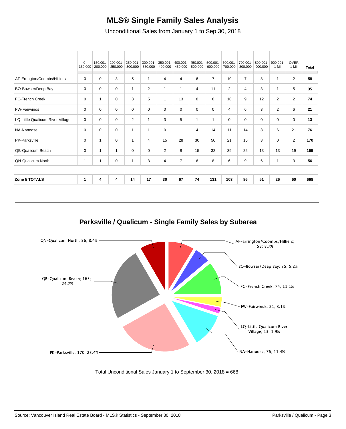#### **MLS® Single Family Sales Analysis**

Unconditional Sales from January 1 to Sep 30, 2018

|                                  | $0-$<br>150,000 | 150,001-<br>200,000 | 200,001-<br>250,000 | 250,001-<br>300,000 | 300,001-<br>350,000 | 350,001-<br>400,000 | 400,001-<br>450,000 | 450,001-<br>500,000 | 500,001-<br>600,000 | 600,001-<br>700,000 | 700,001-<br>800,000 | 800,001-<br>900,000 | $900.001 -$<br>1 Mil | <b>OVER</b><br>1 Mil | <b>Total</b> |
|----------------------------------|-----------------|---------------------|---------------------|---------------------|---------------------|---------------------|---------------------|---------------------|---------------------|---------------------|---------------------|---------------------|----------------------|----------------------|--------------|
| AF-Errington/Coombs/Hilliers     | 0               | $\mathbf 0$         | 3                   | 5                   | 1                   | 4                   | 4                   | 6                   | $\overline{7}$      | 10                  | $\overline{7}$      | 8                   | 1                    | 2                    | 58           |
| BO-Bowser/Deep Bay               | $\mathbf 0$     | $\mathbf 0$         | $\mathbf 0$         | $\mathbf 1$         | $\overline{2}$      | 1                   | 1                   | 4                   | 11                  | $\overline{2}$      | 4                   | 3                   | $\overline{1}$       | 5                    | 35           |
| <b>FC-French Creek</b>           | 0               | $\mathbf{1}$        | 0                   | 3                   | 5                   | $\mathbf 1$         | 13                  | 8                   | 8                   | 10                  | 9                   | 12                  | 2                    | $\overline{2}$       | 74           |
| <b>FW-Fairwinds</b>              | 0               | $\mathbf 0$         | 0                   | $\mathbf 0$         | 0                   | 0                   | 0                   | 0                   | 0                   | 4                   | 6                   | 3                   | $\overline{2}$       | 6                    | 21           |
| LQ-Little Qualicum River Village | $\mathbf 0$     | $\mathbf 0$         | $\mathbf 0$         | $\overline{2}$      | $\mathbf{1}$        | 3                   | 5                   | $\mathbf{1}$        | 1                   | 0                   | 0                   | $\mathbf 0$         | $\mathbf 0$          | $\mathbf 0$          | 13           |
| NA-Nanoose                       | 0               | 0                   | 0                   | 1                   | 1                   | 0                   | 1                   | 4                   | 14                  | 11                  | 14                  | 3                   | 6                    | 21                   | 76           |
| PK-Parksville                    | 0               | 1                   | 0                   | 1                   | 4                   | 15                  | 28                  | 30                  | 50                  | 21                  | 15                  | 3                   | 0                    | 2                    | 170          |
| QB-Qualicum Beach                | 0               | 1                   | 1                   | 0                   | 0                   | $\overline{2}$      | 8                   | 15                  | 32                  | 39                  | 22                  | 13                  | 13                   | 19                   | 165          |
| <b>QN-Qualicum North</b>         | $\mathbf{1}$    | 1                   | 0                   |                     | 3                   | 4                   | 7                   | 6                   | 8                   | 6                   | 9                   | 6                   | 1                    | 3                    | 56           |
|                                  |                 |                     |                     |                     |                     |                     |                     |                     |                     |                     |                     |                     |                      |                      |              |
| <b>Zone 5 TOTALS</b>             | 1               | 4                   | 4                   | 14                  | 17                  | 30                  | 67                  | 74                  | 131                 | 103                 | 86                  | 51                  | 26                   | 60                   | 668          |

**Parksville / Qualicum - Single Family Sales by Subarea**



Total Unconditional Sales January 1 to September 30, 2018 = 668